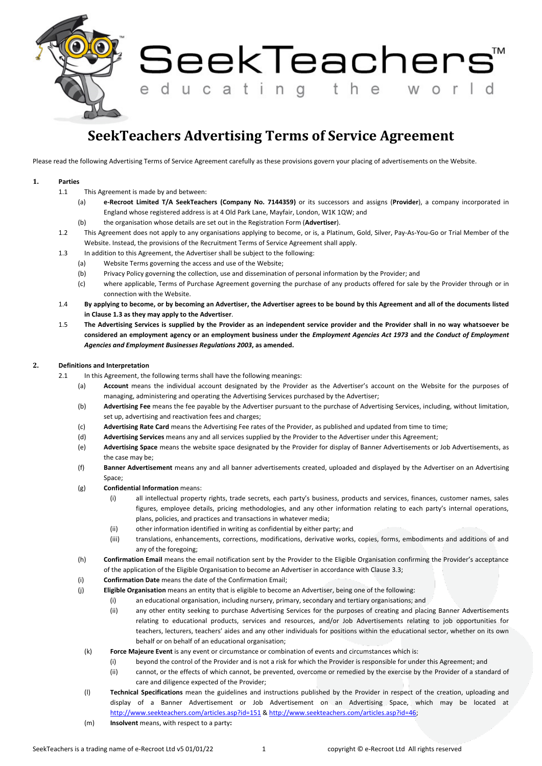

### **SeekTeachers Advertising Terms of Service Agreement**

Please read the following Advertising Terms of Service Agreement carefully as these provisions govern your placing of advertisements on the Website.

#### **1. Parties**

- 1.1 This Agreement is made by and between:
	- (a) **e-Recroot Limited T/A SeekTeachers (Company No. 7144359)** or its successors and assigns (**Provider**), a company incorporated in England whose registered address is at 4 Old Park Lane, Mayfair, London, W1K 1QW; and
	- (b) the organisation whose details are set out in the Registration Form (**Advertiser**).
- 1.2 This Agreement does not apply to any organisations applying to become, or is, a Platinum, Gold, Silver, Pay-As-You-Go or Trial Member of the Website. Instead, the provisions of the Recruitment Terms of Service Agreement shall apply.
- 1.3 In addition to this Agreement, the Advertiser shall be subject to the following:
	- (a) Website Terms governing the access and use of the Website;
	- (b) Privacy Policy governing the collection, use and dissemination of personal information by the Provider; and
	- (c) where applicable, Terms of Purchase Agreement governing the purchase of any products offered for sale by the Provider through or in connection with the Website.
- 1.4 **By applying to become, or by becoming an Advertiser, the Advertiser agrees to be bound by this Agreement and all of the documents listed in Clause 1.3 as they may apply to the Advertiser**.
- 1.5 **The Advertising Services is supplied by the Provider as an independent service provider and the Provider shall in no way whatsoever be considered an employment agency or an employment business under the** *Employment Agencies Act 1973* **and** *the Conduct of Employment Agencies and Employment Businesses Regulations 2003***, as amended.**

#### **2. Definitions and Interpretation**

- 2.1 In this Agreement, the following terms shall have the following meanings:
	- (a) **Account** means the individual account designated by the Provider as the Advertiser's account on the Website for the purposes of managing, administering and operating the Advertising Services purchased by the Advertiser;
	- (b) **Advertising Fee** means the fee payable by the Advertiser pursuant to the purchase of Advertising Services, including, without limitation, set up, advertising and reactivation fees and charges;
	- (c) **Advertising Rate Card** means the Advertising Fee rates of the Provider, as published and updated from time to time;
	- (d) **Advertising Services** means any and all services supplied by the Provider to the Advertiser under this Agreement;
	- (e) **Advertising Space** means the website space designated by the Provider for display of Banner Advertisements or Job Advertisements, as the case may be;
	- (f) **Banner Advertisement** means any and all banner advertisements created, uploaded and displayed by the Advertiser on an Advertising Space;
	- (g) **Confidential Information** means:
		- (i) all intellectual property rights, trade secrets, each party's business, products and services, finances, customer names, sales figures, employee details, pricing methodologies, and any other information relating to each party's internal operations, plans, policies, and practices and transactions in whatever media;
		- (ii) other information identified in writing as confidential by either party; and
		- (iii) translations, enhancements, corrections, modifications, derivative works, copies, forms, embodiments and additions of and any of the foregoing;
	- (h) **Confirmation Email** means the email notification sent by the Provider to the Eligible Organisation confirming the Provider's acceptance of the application of the Eligible Organisation to become an Advertiser in accordance with Clause 3.3;
	- (i) **Confirmation Date** means the date of the Confirmation Email;
	- (j) **Eligible Organisation** means an entity that is eligible to become an Advertiser, being one of the following:
		- (i) an educational organisation, including nursery, primary, secondary and tertiary organisations; and
			- (ii) any other entity seeking to purchase Advertising Services for the purposes of creating and placing Banner Advertisements relating to educational products, services and resources, and/or Job Advertisements relating to job opportunities for teachers, lecturers, teachers' aides and any other individuals for positions within the educational sector, whether on its own behalf or on behalf of an educational organisation;
		- (k) **Force Majeure Event** is any event or circumstance or combination of events and circumstances which is:
			- (i) beyond the control of the Provider and is not a risk for which the Provider is responsible for under this Agreement; and
				- (ii) cannot, or the effects of which cannot, be prevented, overcome or remedied by the exercise by the Provider of a standard of care and diligence expected of the Provider;
		- (l) **Technical Specifications** mean the guidelines and instructions published by the Provider in respect of the creation, uploading and display of a Banner Advertisement or Job Advertisement on an Advertising Space, which may be located at <http://www.seekteachers.com/articles.asp?id=151> [& http://www.seekteachers.com/articles.asp?id=46;](http://www.seekteachers.com/articles.asp?id=46)
		- (m) **Insolvent** means, with respect to a party**:**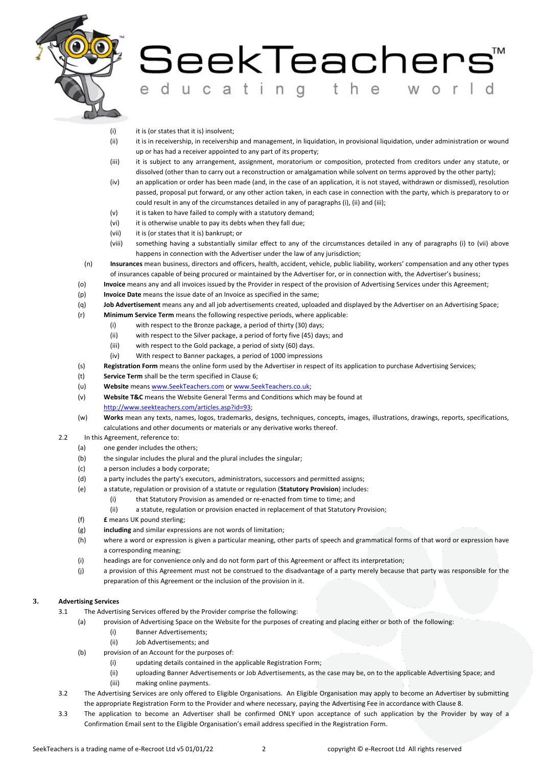

#### SeekTeachers ing th ucat W e

- (i) it is (or states that it is) insolvent;
- (ii) it is in receivership, in receivership and management, in liquidation, in provisional liquidation, under administration or wound up or has had a receiver appointed to any part of its property;
- (iii) it is subject to any arrangement, assignment, moratorium or composition, protected from creditors under any statute, or dissolved (other than to carry out a reconstruction or amalgamation while solvent on terms approved by the other party);
- (iv) an application or order has been made (and, in the case of an application, it is not stayed, withdrawn or dismissed), resolution passed, proposal put forward, or any other action taken, in each case in connection with the party, which is preparatory to or could result in any of the circumstances detailed in any of paragraphs (i), (ii) and (iii);
- (v) it is taken to have failed to comply with a statutory demand;
- (vi) it is otherwise unable to pay its debts when they fall due;
- (vii) it is (or states that it is) bankrupt; or
- (viii) something having a substantially similar effect to any of the circumstances detailed in any of paragraphs (i) to (vii) above happens in connection with the Advertiser under the law of any jurisdiction;
- (n) **Insurances** mean business, directors and officers, health, accident, vehicle, public liability, workers' compensation and any other types of insurances capable of being procured or maintained by the Advertiser for, or in connection with, the Advertiser's business;
- (o) **Invoice** means any and all invoices issued by the Provider in respect of the provision of Advertising Services under this Agreement;
- (p) **Invoice Date** means the issue date of an Invoice as specified in the same;
- (q) **Job Advertisement** means any and all job advertisements created, uploaded and displayed by the Advertiser on an Advertising Space;
- (r) **Minimum Service Term** means the following respective periods, where applicable:
	- (i) with respect to the Bronze package, a period of thirty (30) days;
	- (ii) with respect to the Silver package, a period of forty five (45) days; and
	- (iii) with respect to the Gold package, a period of sixty (60) days.
	- (iv) With respect to Banner packages, a period of 1000 impressions
- (s) **Registration Form** means the online form used by the Advertiser in respect of its application to purchase Advertising Services;
- (t) **Service Term** shall be the term specified in Clause 6;
- (u) **Website** mean[s www.SeekTeachers.com](http://www.seekteachers.com/) o[r www.SeekTeachers.co.uk;](http://www.seekteachers.co.uk/)
- (v) **Website T&C** means the Website General Terms and Conditions which may be found at [http://www.seekteachers.com/articles.asp?id=93;](http://www.seekteachers.com/articles.asp?id=93)
- (w) **Works** mean any texts, names, logos, trademarks, designs, techniques, concepts, images, illustrations, drawings, reports, specifications, calculations and other documents or materials or any derivative works thereof.
- 2.2 In this Agreement, reference to:
	- (a) one gender includes the others;
	- (b) the singular includes the plural and the plural includes the singular;
	- (c) a person includes a body corporate;
	- (d) a party includes the party's executors, administrators, successors and permitted assigns;
	- (e) a statute, regulation or provision of a statute or regulation (**Statutory Provision**) includes:
		- (i) that Statutory Provision as amended or re-enacted from time to time; and
		- (ii) a statute, regulation or provision enacted in replacement of that Statutory Provision;
	- (f) **£** means UK pound sterling;
	- (g) **including** and similar expressions are not words of limitation;
	- (h) where a word or expression is given a particular meaning, other parts of speech and grammatical forms of that word or expression have a corresponding meaning;
	- (i) headings are for convenience only and do not form part of this Agreement or affect its interpretation;
	- (j) a provision of this Agreement must not be construed to the disadvantage of a party merely because that party was responsible for the preparation of this Agreement or the inclusion of the provision in it.

#### **3. Advertising Services**

- 3.1 The Advertising Services offered by the Provider comprise the following:
	- (a) provision of Advertising Space on the Website for the purposes of creating and placing either or both of the following: (i) Banner Advertisements;
		- (ii) Job Advertisements; and
	- (b) provision of an Account for the purposes of:
		- (i) updating details contained in the applicable Registration Form;
		- (ii) uploading Banner Advertisements or Job Advertisements, as the case may be, on to the applicable Advertising Space; and
		- (iii) making online payments.
- 3.2 The Advertising Services are only offered to Eligible Organisations. An Eligible Organisation may apply to become an Advertiser by submitting the appropriate Registration Form to the Provider and where necessary, paying the Advertising Fee in accordance with Clause 8.
- 3.3 The application to become an Advertiser shall be confirmed ONLY upon acceptance of such application by the Provider by way of a Confirmation Email sent to the Eligible Organisation's email address specified in the Registration Form.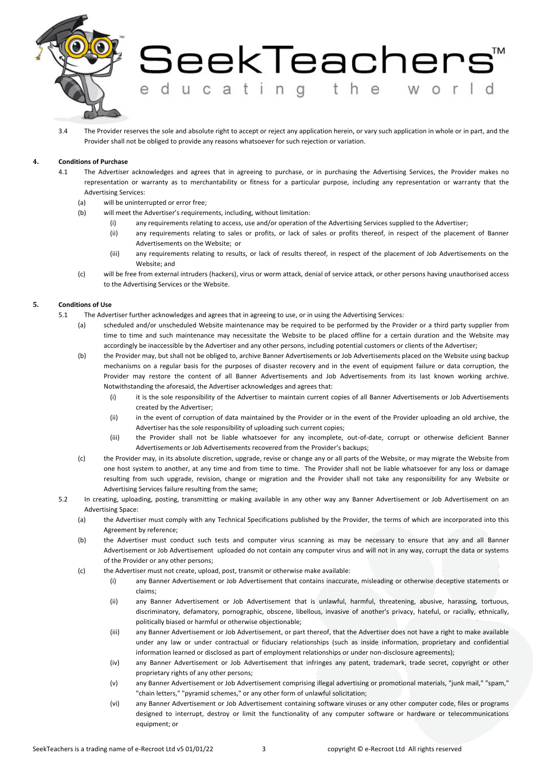

# SeekTeacher

t. h

e

3.4 The Provider reserves the sole and absolute right to accept or reject any application herein, or vary such application in whole or in part, and the Provider shall not be obliged to provide any reasons whatsoever for such rejection or variation.

n

 $\mathbf{I}$ 

g

#### **4. Conditions of Purchase**

- 4.1 The Advertiser acknowledges and agrees that in agreeing to purchase, or in purchasing the Advertising Services, the Provider makes no representation or warranty as to merchantability or fitness for a particular purpose, including any representation or warranty that the Advertising Services:
	- (a) will be uninterrupted or error free;
	- (b) will meet the Advertiser's requirements, including, without limitation:

u c a t

- (i) any requirements relating to access, use and/or operation of the Advertising Services supplied to the Advertiser;
- (ii) any requirements relating to sales or profits, or lack of sales or profits thereof, in respect of the placement of Banner Advertisements on the Website; or
- (iii) any requirements relating to results, or lack of results thereof, in respect of the placement of Job Advertisements on the Website; and
- (c) will be free from external intruders (hackers), virus or worm attack, denial of service attack, or other persons having unauthorised access to the Advertising Services or the Website.

#### **5. Conditions of Use**

- 5.1 The Advertiser further acknowledges and agrees that in agreeing to use, or in using the Advertising Services:
	- (a) scheduled and/or unscheduled Website maintenance may be required to be performed by the Provider or a third party supplier from time to time and such maintenance may necessitate the Website to be placed offline for a certain duration and the Website may accordingly be inaccessible by the Advertiser and any other persons, including potential customers or clients of the Advertiser;
	- (b) the Provider may, but shall not be obliged to, archive Banner Advertisements or Job Advertisements placed on the Website using backup mechanisms on a regular basis for the purposes of disaster recovery and in the event of equipment failure or data corruption, the Provider may restore the content of all Banner Advertisements and Job Advertisements from its last known working archive. Notwithstanding the aforesaid, the Advertiser acknowledges and agrees that:
		- (i) it is the sole responsibility of the Advertiser to maintain current copies of all Banner Advertisements or Job Advertisements created by the Advertiser;
		- (ii) in the event of corruption of data maintained by the Provider or in the event of the Provider uploading an old archive, the Advertiser has the sole responsibility of uploading such current copies;
		- (iii) the Provider shall not be liable whatsoever for any incomplete, out-of-date, corrupt or otherwise deficient Banner Advertisements or Job Advertisements recovered from the Provider's backups;
	- (c) the Provider may, in its absolute discretion, upgrade, revise or change any or all parts of the Website, or may migrate the Website from one host system to another, at any time and from time to time. The Provider shall not be liable whatsoever for any loss or damage resulting from such upgrade, revision, change or migration and the Provider shall not take any responsibility for any Website or Advertising Services failure resulting from the same;
- 5.2 In creating, uploading, posting, transmitting or making available in any other way any Banner Advertisement or Job Advertisement on an Advertising Space:
	- (a) the Advertiser must comply with any Technical Specifications published by the Provider, the terms of which are incorporated into this Agreement by reference;
	- (b) the Advertiser must conduct such tests and computer virus scanning as may be necessary to ensure that any and all Banner Advertisement or Job Advertisement uploaded do not contain any computer virus and will not in any way, corrupt the data or systems of the Provider or any other persons;
	- (c) the Advertiser must not create, upload, post, transmit or otherwise make available:
		- (i) any Banner Advertisement or Job Advertisement that contains inaccurate, misleading or otherwise deceptive statements or claims;
		- (ii) any Banner Advertisement or Job Advertisement that is unlawful, harmful, threatening, abusive, harassing, tortuous, discriminatory, defamatory, pornographic, obscene, libellous, invasive of another's privacy, hateful, or racially, ethnically, politically biased or harmful or otherwise objectionable;
		- (iii) any Banner Advertisement or Job Advertisement, or part thereof, that the Advertiser does not have a right to make available under any law or under contractual or fiduciary relationships (such as inside information, proprietary and confidential information learned or disclosed as part of employment relationships or under non-disclosure agreements);
		- (iv) any Banner Advertisement or Job Advertisement that infringes any patent, trademark, trade secret, copyright or other proprietary rights of any other persons;
		- (v) any Banner Advertisement or Job Advertisement comprising illegal advertising or promotional materials, "junk mail," "spam," "chain letters," "pyramid schemes," or any other form of unlawful solicitation;
		- (vi) any Banner Advertisement or Job Advertisement containing software viruses or any other computer code, files or programs designed to interrupt, destroy or limit the functionality of any computer software or hardware or telecommunications equipment; or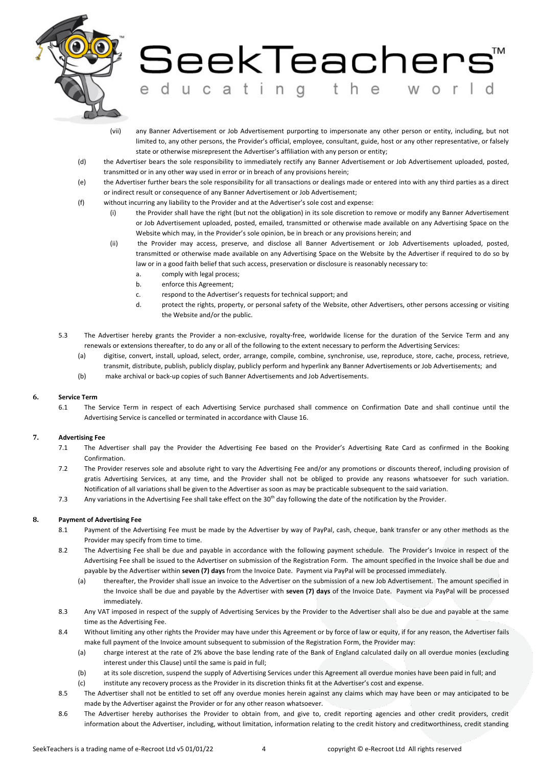

#### SeekTeachers t ucat ing h.

e

W

(vii) any Banner Advertisement or Job Advertisement purporting to impersonate any other person or entity, including, but not limited to, any other persons, the Provider's official, employee, consultant, guide, host or any other representative, or falsely state or otherwise misrepresent the Advertiser's affiliation with any person or entity;

- (d) the Advertiser bears the sole responsibility to immediately rectify any Banner Advertisement or Job Advertisement uploaded, posted, transmitted or in any other way used in error or in breach of any provisions herein;
- (e) the Advertiser further bears the sole responsibility for all transactions or dealings made or entered into with any third parties as a direct or indirect result or consequence of any Banner Advertisement or Job Advertisement;
- (f) without incurring any liability to the Provider and at the Advertiser's sole cost and expense:
	- (i) the Provider shall have the right (but not the obligation) in its sole discretion to remove or modify any Banner Advertisement or Job Advertisement uploaded, posted, emailed, transmitted or otherwise made available on any Advertising Space on the Website which may, in the Provider's sole opinion, be in breach or any provisions herein; and
	- (ii) the Provider may access, preserve, and disclose all Banner Advertisement or Job Advertisements uploaded, posted, transmitted or otherwise made available on any Advertising Space on the Website by the Advertiser if required to do so by law or in a good faith belief that such access, preservation or disclosure is reasonably necessary to:
		- a. comply with legal process;
		- b. enforce this Agreement;
		- c. respond to the Advertiser's requests for technical support; and
		- d. protect the rights, property, or personal safety of the Website, other Advertisers, other persons accessing or visiting the Website and/or the public.
- 5.3 The Advertiser hereby grants the Provider a non-exclusive, royalty-free, worldwide license for the duration of the Service Term and any renewals or extensions thereafter, to do any or all of the following to the extent necessary to perform the Advertising Services:
	- (a) digitise, convert, install, upload, select, order, arrange, compile, combine, synchronise, use, reproduce, store, cache, process, retrieve, transmit, distribute, publish, publicly display, publicly perform and hyperlink any Banner Advertisements or Job Advertisements; and
	- (b) make archival or back-up copies of such Banner Advertisements and Job Advertisements.

#### **6. Service Term**

6.1 The Service Term in respect of each Advertising Service purchased shall commence on Confirmation Date and shall continue until the Advertising Service is cancelled or terminated in accordance with Clause 16.

#### **7. Advertising Fee**

- 7.1 The Advertiser shall pay the Provider the Advertising Fee based on the Provider's Advertising Rate Card as confirmed in the Booking Confirmation.
- 7.2 The Provider reserves sole and absolute right to vary the Advertising Fee and/or any promotions or discounts thereof, including provision of gratis Advertising Services, at any time, and the Provider shall not be obliged to provide any reasons whatsoever for such variation. Notification of all variations shall be given to the Advertiser as soon as may be practicable subsequent to the said variation.
- 7.3 Any variations in the Advertising Fee shall take effect on the 30<sup>th</sup> day following the date of the notification by the Provider.

#### **8. Payment of Advertising Fee**

- 8.1 Payment of the Advertising Fee must be made by the Advertiser by way of PayPal, cash, cheque, bank transfer or any other methods as the Provider may specify from time to time.
- 8.2 The Advertising Fee shall be due and payable in accordance with the following payment schedule. The Provider's Invoice in respect of the Advertising Fee shall be issued to the Advertiser on submission of the Registration Form. The amount specified in the Invoice shall be due and payable by the Advertiser within **seven (7) days** from the Invoice Date. Payment via PayPal will be processed immediately.
	- (a) thereafter, the Provider shall issue an invoice to the Advertiser on the submission of a new Job Advertisement. The amount specified in the Invoice shall be due and payable by the Advertiser with **seven (7) days** of the Invoice Date. Payment via PayPal will be processed immediately.
- 8.3 Any VAT imposed in respect of the supply of Advertising Services by the Provider to the Advertiser shall also be due and payable at the same time as the Advertising Fee.
- 8.4 Without limiting any other rights the Provider may have under this Agreement or by force of law or equity, if for any reason, the Advertiser fails make full payment of the Invoice amount subsequent to submission of the Registration Form, the Provider may:
	- (a) charge interest at the rate of 2% above the base lending rate of the Bank of England calculated daily on all overdue monies (excluding interest under this Clause) until the same is paid in full;
	- (b) at its sole discretion, suspend the supply of Advertising Services under this Agreement all overdue monies have been paid in full; and
	- (c) institute any recovery process as the Provider in its discretion thinks fit at the Advertiser's cost and expense.
- 8.5 The Advertiser shall not be entitled to set off any overdue monies herein against any claims which may have been or may anticipated to be made by the Advertiser against the Provider or for any other reason whatsoever.
- 8.6 The Advertiser hereby authorises the Provider to obtain from, and give to, credit reporting agencies and other credit providers, credit information about the Advertiser, including, without limitation, information relating to the credit history and creditworthiness, credit standing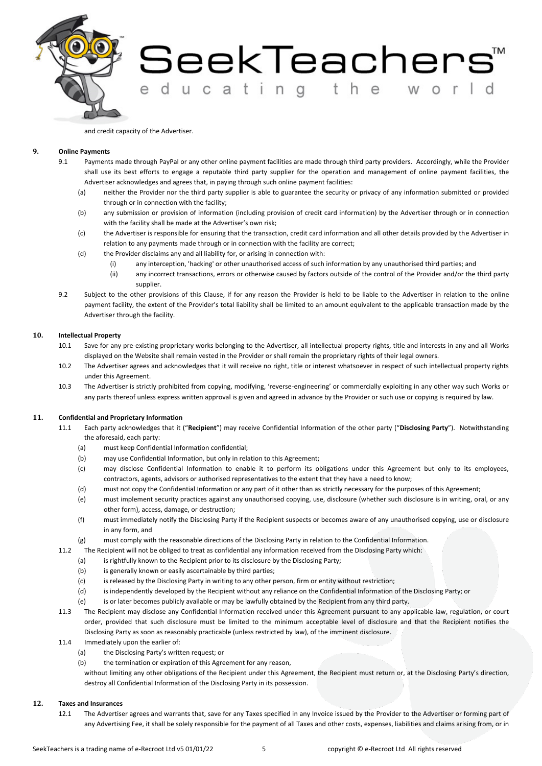## SeekTeachers" ucating th

W

and credit capacity of the Advertiser.

#### **9. Online Payments**

- 9.1 Payments made through PayPal or any other online payment facilities are made through third party providers. Accordingly, while the Provider shall use its best efforts to engage a reputable third party supplier for the operation and management of online payment facilities, the Advertiser acknowledges and agrees that, in paying through such online payment facilities:
	- (a) neither the Provider nor the third party supplier is able to guarantee the security or privacy of any information submitted or provided through or in connection with the facility;
	- (b) any submission or provision of information (including provision of credit card information) by the Advertiser through or in connection with the facility shall be made at the Advertiser's own risk;
	- (c) the Advertiser is responsible for ensuring that the transaction, credit card information and all other details provided by the Advertiser in relation to any payments made through or in connection with the facility are correct;
	- (d) the Provider disclaims any and all liability for, or arising in connection with:
		- (i) any interception, 'hacking' or other unauthorised access of such information by any unauthorised third parties; and
		- (ii) any incorrect transactions, errors or otherwise caused by factors outside of the control of the Provider and/or the third party supplier.
- 9.2 Subject to the other provisions of this Clause, if for any reason the Provider is held to be liable to the Advertiser in relation to the online payment facility, the extent of the Provider's total liability shall be limited to an amount equivalent to the applicable transaction made by the Advertiser through the facility.

#### **10. Intellectual Property**

- 10.1 Save for any pre-existing proprietary works belonging to the Advertiser, all intellectual property rights, title and interests in any and all Works displayed on the Website shall remain vested in the Provider or shall remain the proprietary rights of their legal owners.
- 10.2 The Advertiser agrees and acknowledges that it will receive no right, title or interest whatsoever in respect of such intellectual property rights under this Agreement.
- 10.3 The Advertiser is strictly prohibited from copying, modifying, 'reverse-engineering' or commercially exploiting in any other way such Works or any parts thereof unless express written approval is given and agreed in advance by the Provider or such use or copying is required by law.

#### **11. Confidential and Proprietary Information**

- 11.1 Each party acknowledges that it ("**Recipient**") may receive Confidential Information of the other party ("**Disclosing Party**"). Notwithstanding the aforesaid, each party:
	- (a) must keep Confidential Information confidential;
	- (b) may use Confidential Information, but only in relation to this Agreement;
	- (c) may disclose Confidential Information to enable it to perform its obligations under this Agreement but only to its employees, contractors, agents, advisors or authorised representatives to the extent that they have a need to know;
	- (d) must not copy the Confidential Information or any part of it other than as strictly necessary for the purposes of this Agreement;
	- (e) must implement security practices against any unauthorised copying, use, disclosure (whether such disclosure is in writing, oral, or any other form), access, damage, or destruction;
	- (f) must immediately notify the Disclosing Party if the Recipient suspects or becomes aware of any unauthorised copying, use or disclosure in any form, and
	- (g) must comply with the reasonable directions of the Disclosing Party in relation to the Confidential Information.
- 11.2 The Recipient will not be obliged to treat as confidential any information received from the Disclosing Party which:
	- (a) is rightfully known to the Recipient prior to its disclosure by the Disclosing Party;
	- (b) is generally known or easily ascertainable by third parties;
	- (c) is released by the Disclosing Party in writing to any other person, firm or entity without restriction;
	- (d) is independently developed by the Recipient without any reliance on the Confidential Information of the Disclosing Party; or
	- (e) is or later becomes publicly available or may be lawfully obtained by the Recipient from any third party.
- 11.3 The Recipient may disclose any Confidential Information received under this Agreement pursuant to any applicable law, regulation, or court order, provided that such disclosure must be limited to the minimum acceptable level of disclosure and that the Recipient notifies the Disclosing Party as soon as reasonably practicable (unless restricted by law), of the imminent disclosure.
- 11.4 Immediately upon the earlier of:
	- (a) the Disclosing Party's written request; or
	- (b) the termination or expiration of this Agreement for any reason,

without limiting any other obligations of the Recipient under this Agreement, the Recipient must return or, at the Disclosing Party's direction, destroy all Confidential Information of the Disclosing Party in its possession.

#### **12. Taxes and Insurances**

12.1 The Advertiser agrees and warrants that, save for any Taxes specified in any Invoice issued by the Provider to the Advertiser or forming part of any Advertising Fee, it shall be solely responsible for the payment of all Taxes and other costs, expenses, liabilities and claims arising from, or in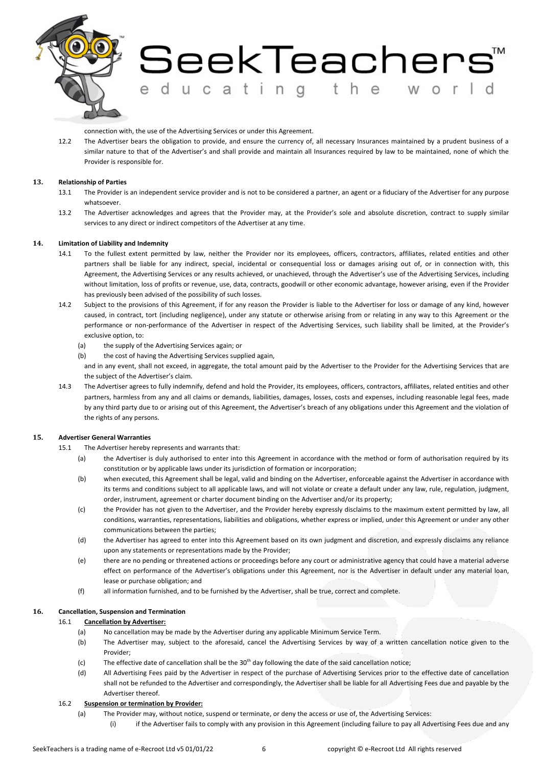

# SeekTeachers

 $t$ 

h. e W

connection with, the use of the Advertising Services or under this Agreement.

ucat

12.2 The Advertiser bears the obligation to provide, and ensure the currency of, all necessary Insurances maintained by a prudent business of a similar nature to that of the Advertiser's and shall provide and maintain all Insurances required by law to be maintained, none of which the Provider is responsible for.

ing

#### **13. Relationship of Parties**

- 13.1 The Provider is an independent service provider and is not to be considered a partner, an agent or a fiduciary of the Advertiser for any purpose whatsoever.
- 13.2 The Advertiser acknowledges and agrees that the Provider may, at the Provider's sole and absolute discretion, contract to supply similar services to any direct or indirect competitors of the Advertiser at any time.

#### **14. Limitation of Liability and Indemnity**

- 14.1 To the fullest extent permitted by law, neither the Provider nor its employees, officers, contractors, affiliates, related entities and other partners shall be liable for any indirect, special, incidental or consequential loss or damages arising out of, or in connection with, this Agreement, the Advertising Services or any results achieved, or unachieved, through the Advertiser's use of the Advertising Services, including without limitation, loss of profits or revenue, use, data, contracts, goodwill or other economic advantage, however arising, even if the Provider has previously been advised of the possibility of such losses.
- 14.2 Subject to the provisions of this Agreement, if for any reason the Provider is liable to the Advertiser for loss or damage of any kind, however caused, in contract, tort (including negligence), under any statute or otherwise arising from or relating in any way to this Agreement or the performance or non-performance of the Advertiser in respect of the Advertising Services, such liability shall be limited, at the Provider's exclusive option, to:
	- (a) the supply of the Advertising Services again; or
	- (b) the cost of having the Advertising Services supplied again,

and in any event, shall not exceed, in aggregate, the total amount paid by the Advertiser to the Provider for the Advertising Services that are the subject of the Advertiser's claim.

14.3 The Advertiser agrees to fully indemnify, defend and hold the Provider, its employees, officers, contractors, affiliates, related entities and other partners, harmless from any and all claims or demands, liabilities, damages, losses, costs and expenses, including reasonable legal fees, made by any third party due to or arising out of this Agreement, the Advertiser's breach of any obligations under this Agreement and the violation of the rights of any persons.

#### **15. Advertiser General Warranties**

- 15.1 The Advertiser hereby represents and warrants that:
	- (a) the Advertiser is duly authorised to enter into this Agreement in accordance with the method or form of authorisation required by its constitution or by applicable laws under its jurisdiction of formation or incorporation;
	- (b) when executed, this Agreement shall be legal, valid and binding on the Advertiser, enforceable against the Advertiser in accordance with its terms and conditions subject to all applicable laws, and will not violate or create a default under any law, rule, regulation, judgment, order, instrument, agreement or charter document binding on the Advertiser and/or its property;
	- (c) the Provider has not given to the Advertiser, and the Provider hereby expressly disclaims to the maximum extent permitted by law, all conditions, warranties, representations, liabilities and obligations, whether express or implied, under this Agreement or under any other communications between the parties;
	- (d) the Advertiser has agreed to enter into this Agreement based on its own judgment and discretion, and expressly disclaims any reliance upon any statements or representations made by the Provider;
	- (e) there are no pending or threatened actions or proceedings before any court or administrative agency that could have a material adverse effect on performance of the Advertiser's obligations under this Agreement, nor is the Advertiser in default under any material loan, lease or purchase obligation; and
	- (f) all information furnished, and to be furnished by the Advertiser, shall be true, correct and complete.

#### **16. Cancellation, Suspension and Termination**

#### 16.1 **Cancellation by Advertiser:**

- (a) No cancellation may be made by the Advertiser during any applicable Minimum Service Term.
- (b) The Advertiser may, subject to the aforesaid, cancel the Advertising Services by way of a written cancellation notice given to the Provider;
- (c) The effective date of cancellation shall be the  $30<sup>th</sup>$  day following the date of the said cancellation notice;
- (d) All Advertising Fees paid by the Advertiser in respect of the purchase of Advertising Services prior to the effective date of cancellation shall not be refunded to the Advertiser and correspondingly, the Advertiser shall be liable for all Advertising Fees due and payable by the Advertiser thereof.

#### 16.2 **Suspension or termination by Provider:**

- (a) The Provider may, without notice, suspend or terminate, or deny the access or use of, the Advertising Services:
	- (i) if the Advertiser fails to comply with any provision in this Agreement (including failure to pay all Advertising Fees due and any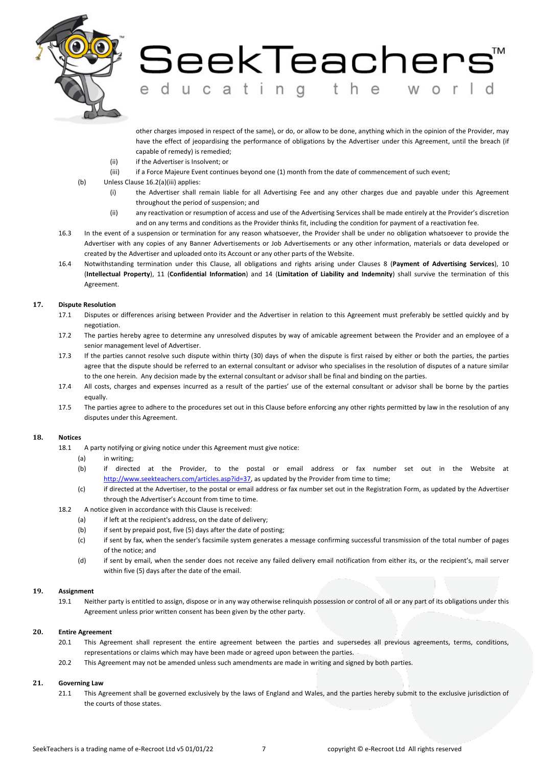

### SeekTeacher: t. h

 $\ominus$ 

g n

other charges imposed in respect of the same), or do, or allow to be done, anything which in the opinion of the Provider, may have the effect of jeopardising the performance of obligations by the Advertiser under this Agreement, until the breach (if capable of remedy) is remedied;

(ii) if the Advertiser is Insolvent; or

U.

c a

t Ť

- (iii) if a Force Majeure Event continues beyond one (1) month from the date of commencement of such event;
- (b) Unless Clause 16.2(a)(iii) applies:
	- (i) the Advertiser shall remain liable for all Advertising Fee and any other charges due and payable under this Agreement throughout the period of suspension; and
	- (ii) any reactivation or resumption of access and use of the Advertising Services shall be made entirely at the Provider's discretion and on any terms and conditions as the Provider thinks fit, including the condition for payment of a reactivation fee.
- 16.3 In the event of a suspension or termination for any reason whatsoever, the Provider shall be under no obligation whatsoever to provide the Advertiser with any copies of any Banner Advertisements or Job Advertisements or any other information, materials or data developed or created by the Advertiser and uploaded onto its Account or any other parts of the Website.
- 16.4 Notwithstanding termination under this Clause, all obligations and rights arising under Clauses 8 (**Payment of Advertising Services**), 10 (**Intellectual Property**), 11 (**Confidential Information**) and 14 (**Limitation of Liability and Indemnity**) shall survive the termination of this Agreement.

#### **17. Dispute Resolution**

- 17.1 Disputes or differences arising between Provider and the Advertiser in relation to this Agreement must preferably be settled quickly and by negotiation.
- 17.2 The parties hereby agree to determine any unresolved disputes by way of amicable agreement between the Provider and an employee of a senior management level of Advertiser.
- 17.3 If the parties cannot resolve such dispute within thirty (30) days of when the dispute is first raised by either or both the parties, the parties agree that the dispute should be referred to an external consultant or advisor who specialises in the resolution of disputes of a nature similar to the one herein. Any decision made by the external consultant or advisor shall be final and binding on the parties.
- 17.4 All costs, charges and expenses incurred as a result of the parties' use of the external consultant or advisor shall be borne by the parties equally.
- 17.5 The parties agree to adhere to the procedures set out in this Clause before enforcing any other rights permitted by law in the resolution of any disputes under this Agreement.

#### **18. Notices**

- 18.1 A party notifying or giving notice under this Agreement must give notice:
	- (a) in writing;
	- (b) if directed at the Provider, to the postal or email address or fax number set out in the Website at [http://www.seekteachers.com/articles.asp?id=37,](http://www.seekteachers.com/articles.asp?id=37) as updated by the Provider from time to time;
	- (c) if directed at the Advertiser, to the postal or email address or fax number set out in the Registration Form, as updated by the Advertiser through the Advertiser's Account from time to time.
- 18.2 A notice given in accordance with this Clause is received:
	- (a) if left at the recipient's address, on the date of delivery;
	- (b) if sent by prepaid post, five (5) days after the date of posting;
	- (c) if sent by fax, when the sender's facsimile system generates a message confirming successful transmission of the total number of pages of the notice; and
	- (d) if sent by email, when the sender does not receive any failed delivery email notification from either its, or the recipient's, mail server within five (5) days after the date of the email.

#### **19. Assignment**

19.1 Neither party is entitled to assign, dispose or in any way otherwise relinquish possession or control of all or any part of its obligations under this Agreement unless prior written consent has been given by the other party.

#### **20. Entire Agreement**

- 20.1 This Agreement shall represent the entire agreement between the parties and supersedes all previous agreements, terms, conditions, representations or claims which may have been made or agreed upon between the parties.
- 20.2 This Agreement may not be amended unless such amendments are made in writing and signed by both parties.

#### **21. Governing Law**

21.1 This Agreement shall be governed exclusively by the laws of England and Wales, and the parties hereby submit to the exclusive jurisdiction of the courts of those states.